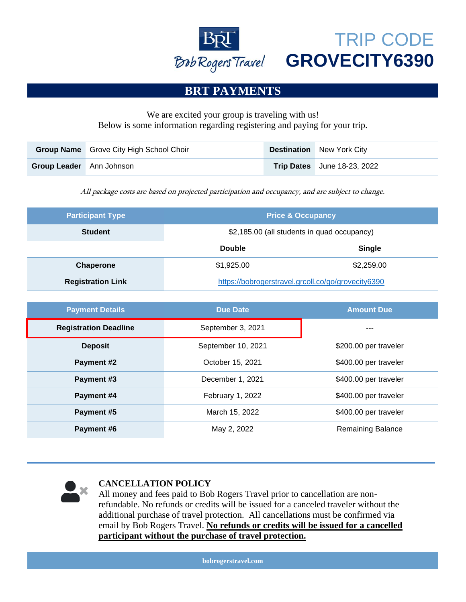

## TRIP CODE **GROVECITY6390**

## **BRT PAYMENTS**

### We are excited your group is traveling with us! Below is some information regarding registering and paying for your trip.

|                                 | <b>Group Name</b> Grove City High School Choir | <b>Destination</b> New York City   |
|---------------------------------|------------------------------------------------|------------------------------------|
| <b>Group Leader</b> Ann Johnson |                                                | <b>Trip Dates</b> June 18-23, 2022 |

All package costs are based on projected participation and occupancy, and are subject to change.

| <b>Participant Type</b>  | <b>Price &amp; Occupancy</b>                       |               |
|--------------------------|----------------------------------------------------|---------------|
| <b>Student</b>           | \$2,185.00 (all students in quad occupancy)        |               |
|                          | <b>Double</b>                                      | <b>Single</b> |
| <b>Chaperone</b>         | \$1,925.00                                         | \$2,259.00    |
| <b>Registration Link</b> | https://bobrogerstravel.grcoll.co/go/grovecity6390 |               |

| <b>Payment Details</b>       | <b>Due Date</b>    | <b>Amount Due</b>        |
|------------------------------|--------------------|--------------------------|
| <b>Registration Deadline</b> | September 3, 2021  | ---                      |
| <b>Deposit</b>               | September 10, 2021 | \$200.00 per traveler    |
| <b>Payment #2</b>            | October 15, 2021   | \$400.00 per traveler    |
| Payment #3                   | December 1, 2021   | \$400.00 per traveler    |
| Payment #4                   | February 1, 2022   | \$400.00 per traveler    |
| Payment #5                   | March 15, 2022     | \$400.00 per traveler    |
| Payment #6                   | May 2, 2022        | <b>Remaining Balance</b> |



#### **CANCELLATION POLICY**

All money and fees paid to Bob Rogers Travel prior to cancellation are nonrefundable. No refunds or credits will be issued for a canceled traveler without the additional purchase of travel protection. All cancellations must be confirmed via email by Bob Rogers Travel. **No refunds or credits will be issued for a cancelled participant without the purchase of travel protection.**

**bobrogerstravel.com**